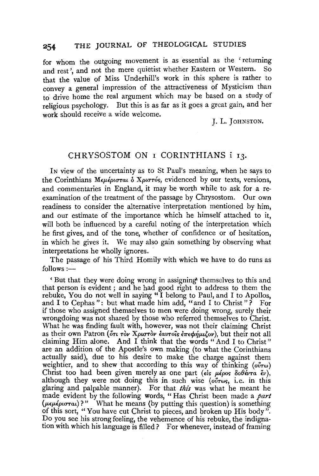for whom the outgoing movement is as essential as the ' returning and rest', and not the mere quietist whether Eastern or Western. So that the value of Miss Underhill's work in this sphere is rather to convey a general impression of the attractiveness of Mysticism than to drive home the real argument which may be based on a study of religious psychology. But this is as far as it goes a great gain, and her work should receive a wide welcome.

J. L. JOHNSTON.

## CHRYSOSTOM ON I CORINTHIANS i 13.

IN view of the uncertainty as to St Paul's meaning, when he says to the Corinthians *Μεμέρισται* δ Χριστός, evidenced by our texts, versions, and commentaries in England, it may be worth while to ask for a reexamination of the treatment of the passage by Chrysostom. Our own readiness to consider the alternative interpretation mentioned by him, and our estimate of the importance which he himself attached to it, will both be influenced by a careful noting of the interpretation which he first gives, and of the tone, whether of confidence or of hesitation, in which he gives it. We may also gain something by observing what interpretations he wholly ignores.

The passage of his Third Homily with which we have to do runs as  $follows:$ 

' But that they were doing wrong in assigning> themselves to this and that person is evident; and he had good right to address to them the rebuke, You do not well in saying "I belong to Paul, and I to Apollos, and I to Cephas": but what made him add, "and I to Christ"? For if those who assigned themselves to men were doing wrong, surely their wrongdoing was not shared by those who referred themselves to Christ. What he was finding fault with, however, was not their claiming Christ as their own Patron (<sup>ort</sup> ròv Xpurròv εαυτοΐς επεφήμιζον), but their not all claiming Him alone. And I think that the words "And I to Christ" are an addition of the Apostle's own making (to what the Corinthians actually said), due to his desire to make the charge against them weightier, and to shew that according to this way of thinking  $(o\tilde{v} \tau \omega)$ Christ too had been given merely as one part ( $\epsilon \hat{i} s$   $\mu \epsilon \rho \circ s$   $\delta \theta \tilde{\epsilon} \nu \tau \alpha \tilde{\epsilon} \nu$ ), although they were not doing this in such wise ( $o\tilde{v}$ r<sub>ws</sub>, i.e. in this glaring and palpable manner). For that *this* was what he meant he made evident by the following words, " Has Christ been made a *part (!Lf./LlptuTat)?"* What he means (by putting this question) is something of this sort, " You have cut Christ to pieces, and broken up His body". Do you see his strong feeling, the vehemence of his rebuke, the indignation with which his language is filled? For whenever, instead of framing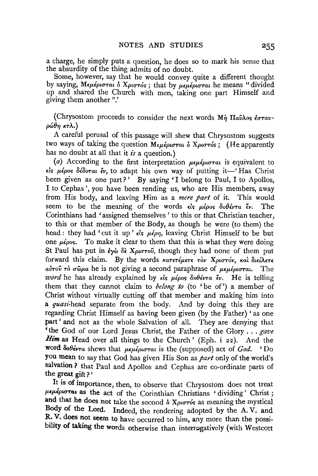a charge, he simply puts a question, he does so to mark his sense that the absurdity of the thing admits of no doubt.

Some, however, say that he would convey quite a different thought by saying, Μεμέρισται δ Χριστός; that by μεμέρισται he means "divided up and shared the Church with men, taking one part Himself and giving them another".'

(Chrysostom proceeds to consider the next words Μή Παῦλος έσταν*púθη κτλ.*)

A careful perusal of this passage will shew that Chrysostom suggests two ways of taking the question Μεμέρισται **δ** Χριστός; (He apparently has no doubt at all that it *is* a question.)

(a) According to the first interpretation  $\mu \epsilon \mu \epsilon \rho \mu \sigma \tau \alpha \iota$  is equivalent to El~ *p..lpor; Sl8oTaL* lv, to adapt his own way of putting it-' Has Christ been given as one part?' By saying 'I belong to Paul, I to Apollos, I to Cephas', you have been rending us, who are His members, away from His body, and leaving Him as a *mere part* of it. This would seem to be the meaning of the words  $\epsilon i_S$   $\mu \epsilon \rho o_S$   $\delta o \theta \epsilon v \tau a \epsilon v$ . The Corinthians had 'assigned themselves ' to this or that Christian teacher, to this or that member of the Body, as though he were (to them) the head : they had 'cut it up'  $\epsilon$ *is*  $\mu \epsilon \rho \eta$ , leaving Christ Himself to be but one  $\mu\epsilon_{\rho}$  os. To make it clear to them that this is what they were doing St Paul has put in  $\partial \hat{\theta}$   $X_{\mu\nu}$   $\partial \hat{\theta}$ , though they had none of them put forward this claim. By the words *κατετέμετε τον Χριστόν, και διείλετε* a*υτού το σ*ωμα he is not giving a second paraphrase of μεμέρισται. The *word* he has already explained by  $\epsilon$  *is*  $\mu\epsilon$ *pos*  $\delta$ *ob* $\epsilon$  $\nu\tau$ *a*  $\epsilon$  $\nu$ . He is telling them that they cannot claim to *belong to* (to 'be of') a member of Christ without virtually cutting off that member and making him into a *quasi*-head separate from the body. And by doing this they are regarding Christ Himself as having been given (by the Father) 'as one part' and not as the whole Salvation of all. They are denying that 'the God of our Lord Jesus Christ, the Father of the Glory ... *gave Him* as Head over all things to the Church ' (Eph. i 22). And the Word δοθέντα shews that *μεμέρισται* is the (supposed) act of *God.* 'Do you mean to say that God has given His Son as *part* only of the world's salvation ? that Paul and Apollos and Cephas are co-ordinate parts of the great gift ? '

It is of importance, then, to observe that Chrysostom does not treat  $\mu$ εμέρισται as the act of the Corinthian Christians ' dividing' Christ; and that he does not take the second  $\delta$  *Xpurtos* as meaning the mystical Body of the Lord. Indeed, the rendering adopted by the A. V. and R. V. does not seem to have occurred to him, any more than the possibility of taking the words otherwise than interrogatively (with Westcott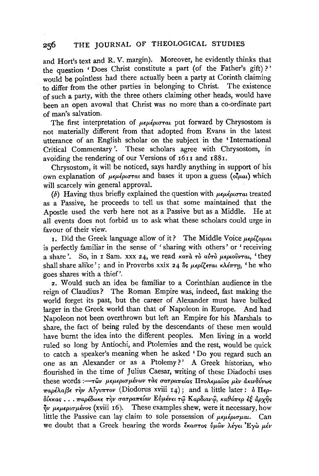and Hort's text and R. V. margin). Moreover, he evidently thinks that the question 'Does Christ constitute a part (of the Father's gift)?' would be pointless had there actually been a party at Corinth claiming to differ from the other parties in belonging to Christ. The existence of such a party, with the three others claiming other heads, would have been an open avowal that Christ was no more than a co-ordinate part of man's salvation.

The first interpretation of  $\mu\epsilon\mu\epsilon\rho\sigma\tau\alpha\tau$  put forward by Chrysostom is not materially different from that adopted from Evans in the latest utterance of an English scholar on the subject in the ' International Critical Commentary '. These scholars agree with Chrysostom, in avoiding the rendering of our Versions of 1611 and 1881.

Chrysostom, it will be noticed, says hardly anything in support of his own explanation of  $\mu\epsilon\mu\epsilon\rho\sigma\tau\alpha t$  and bases it upon a guess ( $\delta\bar{\mu}a\mu$ ) which will scarcely win general approval.

(b) Having thus briefly explained the question with  $\mu \epsilon \mu \epsilon \rho \sigma \tau \alpha t$  treated as a Passive,. he proceeds to tell us that some maintained that the Apostle used the verb here not as a Passive but as a Middle. He at all events does not forbid us to ask what these scholars could urge in favour of their view.

1. Did the Greek language allow of it? The Middle Voice  $\mu \epsilon \rho l \zeta \rho \mu a \iota$ is perfectly familiar in the sense of ' sharing with others' or 'receiving a share'. So, in I Sam. xxx 24, we read *kara To avTo μεριούνται*, 'they shall share alike'; and in Proverbs xxix 24  $\delta s$   $\mu \epsilon \rho l \zeta \epsilon \tau a \kappa \lambda \epsilon \pi \tau \eta$ , 'he who goes shares with a thief'.

*z.* Would such an idea be familiar to a Corinthian audience in the reign of Claudius ? The Roman Empire was, indeed, fast making the world forget its past, but the career of Alexander must have bulked larger in the Greek world than that of Napoleon in Europe. And had Napoleon not been overthrown but left an Empire for his Marshals to share, the fact of being ruled by the descendants of these men would have burnt the idea into the different peoples. Men living in a world ruled so long by Antiochi, and Ptolemies and the rest, would be quick to catch a speaker's meaning when he asked ' Do you regard such an one as an Alexander or as a Ptolemy?' A Greek historian, who flourished in the time of Julius Caesar, writing of these Diadochi uses these words *:--των μεμερισμένων τας σατραπείας Πτολεμαίος μεν ακινδύνως*  $\pi a \rho \epsilon \lambda a \beta \epsilon$   $\tau \gamma \nu$  *Alyvπτov* (Diodorus xviii 14); and a little later: *b*  $\Pi \epsilon \rho$ -'BtKKa~ ••. *7rapl8wK£* ~V *rraTpa7r£{av Evp.lv£t* T<i> *Kap8tav<t>, Ka0a7r£p £t apxi}>*   $\eta_v$   $\mu \epsilon \mu \epsilon \rho \omega \sigma \mu \epsilon \nu \sigma s$  (xviii 16). These examples shew, were it necessary, how little the Passive can lay claim to sole possession of  $\mu\epsilon\mu\epsilon\rho\sigma\sigma\mu a\lambda$ . Can we doubt that a Greek hearing the words εκαστος *ύμων λέγει* 'Έγω μέν